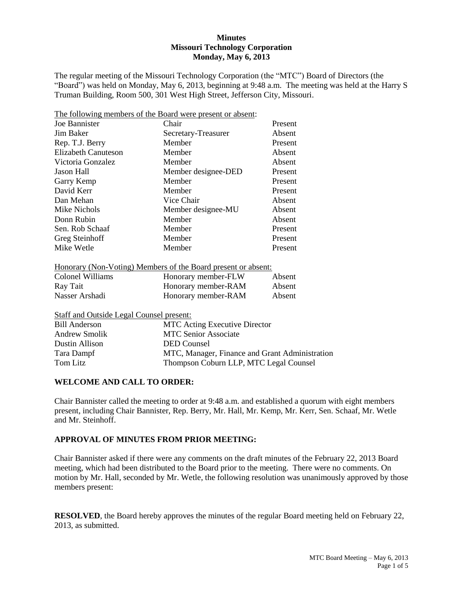# **Minutes Missouri Technology Corporation Monday, May 6, 2013**

The regular meeting of the Missouri Technology Corporation (the "MTC") Board of Directors (the "Board") was held on Monday, May 6, 2013, beginning at 9:48 a.m. The meeting was held at the Harry S Truman Building, Room 500, 301 West High Street, Jefferson City, Missouri.

|                            | The following members of the Board were present or absent: |         |
|----------------------------|------------------------------------------------------------|---------|
| Joe Bannister              | Chair                                                      | Present |
| Jim Baker                  | Secretary-Treasurer                                        | Absent  |
| Rep. T.J. Berry            | Member                                                     | Present |
| <b>Elizabeth Canuteson</b> | Member                                                     | Absent  |
| Victoria Gonzalez          | Member                                                     | Absent  |
| Jason Hall                 | Member designee-DED                                        | Present |
| Garry Kemp                 | Member                                                     | Present |
| David Kerr                 | Member                                                     | Present |
| Dan Mehan                  | Vice Chair                                                 | Absent  |
| Mike Nichols               | Member designee-MU                                         | Absent  |
| Donn Rubin                 | Member                                                     | Absent  |
| Sen. Rob Schaaf            | Member                                                     | Present |
| Greg Steinhoff             | Member                                                     | Present |
| Mike Wetle                 | Member                                                     | Present |
|                            |                                                            |         |

| Colonel Williams | Honorary member-FLW | Absent |
|------------------|---------------------|--------|
| Ray Tait         | Honorary member-RAM | Absent |
| Nasser Arshadi   | Honorary member-RAM | Absent |

Staff and Outside Legal Counsel present:

| <b>Bill Anderson</b> | <b>MTC</b> Acting Executive Director           |
|----------------------|------------------------------------------------|
| Andrew Smolik        | <b>MTC Senior Associate</b>                    |
| Dustin Allison       | DED Counsel                                    |
| Tara Dampf           | MTC, Manager, Finance and Grant Administration |
| Tom Litz             | Thompson Coburn LLP, MTC Legal Counsel         |

### **WELCOME AND CALL TO ORDER:**

Chair Bannister called the meeting to order at 9:48 a.m. and established a quorum with eight members present, including Chair Bannister, Rep. Berry, Mr. Hall, Mr. Kemp, Mr. Kerr, Sen. Schaaf, Mr. Wetle and Mr. Steinhoff.

# **APPROVAL OF MINUTES FROM PRIOR MEETING:**

Chair Bannister asked if there were any comments on the draft minutes of the February 22, 2013 Board meeting, which had been distributed to the Board prior to the meeting. There were no comments. On motion by Mr. Hall, seconded by Mr. Wetle, the following resolution was unanimously approved by those members present:

**RESOLVED**, the Board hereby approves the minutes of the regular Board meeting held on February 22, 2013, as submitted.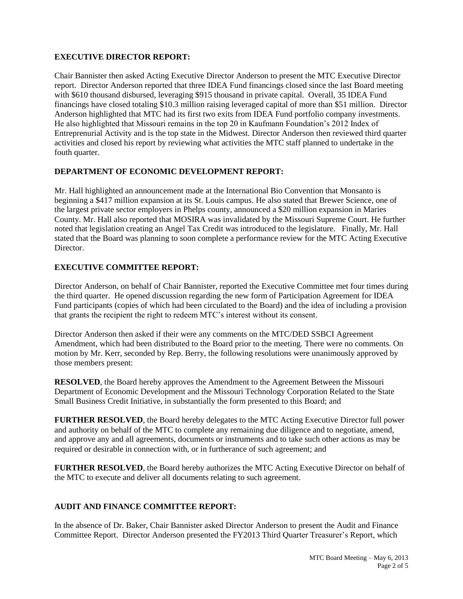# **EXECUTIVE DIRECTOR REPORT:**

Chair Bannister then asked Acting Executive Director Anderson to present the MTC Executive Director report. Director Anderson reported that three IDEA Fund financings closed since the last Board meeting with \$610 thousand disbursed, leveraging \$915 thousand in private capital. Overall, 35 IDEA Fund financings have closed totaling \$10.3 million raising leveraged capital of more than \$51 million. Director Anderson highlighted that MTC had its first two exits from IDEA Fund portfolio company investments. He also highlighted that Missouri remains in the top 20 in Kaufmann Foundation's 2012 Index of Entreprenurial Activity and is the top state in the Midwest. Director Anderson then reviewed third quarter activities and closed his report by reviewing what activities the MTC staff planned to undertake in the fouth quarter.

# **DEPARTMENT OF ECONOMIC DEVELOPMENT REPORT:**

Mr. Hall highlighted an announcement made at the International Bio Convention that Monsanto is beginning a \$417 million expansion at its St. Louis campus. He also stated that Brewer Science, one of the largest private sector employers in Phelps county, announced a \$20 million expansion in Maries County. Mr. Hall also reported that MOSIRA was invalidated by the Missouri Supreme Court. He further noted that legislation creating an Angel Tax Credit was introduced to the legislature. Finally, Mr. Hall stated that the Board was planning to soon complete a performance review for the MTC Acting Executive Director.

# **EXECUTIVE COMMITTEE REPORT:**

Director Anderson, on behalf of Chair Bannister, reported the Executive Committee met four times during the third quarter. He opened discussion regarding the new form of Participation Agreement for IDEA Fund participants (copies of which had been circulated to the Board) and the idea of including a provision that grants the recipient the right to redeem MTC's interest without its consent.

Director Anderson then asked if their were any comments on the MTC/DED SSBCI Agreement Amendment, which had been distributed to the Board prior to the meeting. There were no comments. On motion by Mr. Kerr, seconded by Rep. Berry, the following resolutions were unanimously approved by those members present:

**RESOLVED**, the Board hereby approves the Amendment to the Agreement Between the Missouri Department of Economic Development and the Missouri Technology Corporation Related to the State Small Business Credit Initiative, in substantially the form presented to this Board; and

**FURTHER RESOLVED**, the Board hereby delegates to the MTC Acting Executive Director full power and authority on behalf of the MTC to complete any remaining due diligence and to negotiate, amend, and approve any and all agreements, documents or instruments and to take such other actions as may be required or desirable in connection with, or in furtherance of such agreement; and

**FURTHER RESOLVED**, the Board hereby authorizes the MTC Acting Executive Director on behalf of the MTC to execute and deliver all documents relating to such agreement.

# **AUDIT AND FINANCE COMMITTEE REPORT:**

In the absence of Dr. Baker, Chair Bannister asked Director Anderson to present the Audit and Finance Committee Report. Director Anderson presented the FY2013 Third Quarter Treasurer's Report, which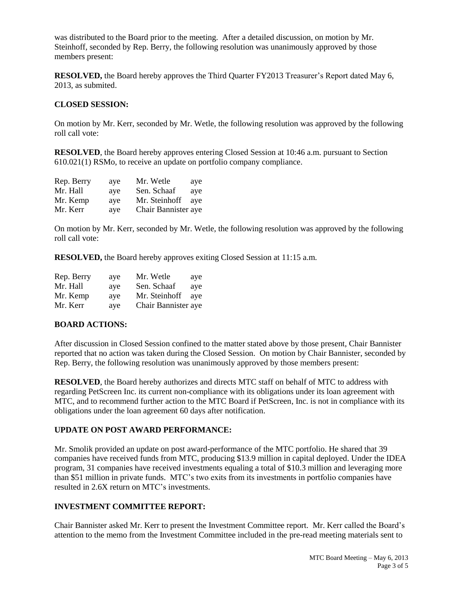was distributed to the Board prior to the meeting. After a detailed discussion, on motion by Mr. Steinhoff, seconded by Rep. Berry, the following resolution was unanimously approved by those members present:

**RESOLVED,** the Board hereby approves the Third Quarter FY2013 Treasurer's Report dated May 6, 2013, as submited.

# **CLOSED SESSION:**

On motion by Mr. Kerr, seconded by Mr. Wetle, the following resolution was approved by the following roll call vote:

**RESOLVED**, the Board hereby approves entering Closed Session at 10:46 a.m. pursuant to Section 610.021(1) RSMo, to receive an update on portfolio company compliance.

| Rep. Berry | aye | Mr. Wetle           | ave |
|------------|-----|---------------------|-----|
| Mr. Hall   | aye | Sen. Schaaf         | aye |
| Mr. Kemp   | ave | Mr. Steinhoff       | ave |
| Mr. Kerr   | aye | Chair Bannister aye |     |

On motion by Mr. Kerr, seconded by Mr. Wetle, the following resolution was approved by the following roll call vote:

**RESOLVED,** the Board hereby approves exiting Closed Session at 11:15 a.m.

| Rep. Berry | aye | Mr. Wetle           | ave |
|------------|-----|---------------------|-----|
| Mr. Hall   | aye | Sen. Schaaf         | ave |
| Mr. Kemp   | aye | Mr. Steinhoff       | ave |
| Mr. Kerr   | aye | Chair Bannister aye |     |

## **BOARD ACTIONS:**

After discussion in Closed Session confined to the matter stated above by those present, Chair Bannister reported that no action was taken during the Closed Session. On motion by Chair Bannister, seconded by Rep. Berry, the following resolution was unanimously approved by those members present:

**RESOLVED**, the Board hereby authorizes and directs MTC staff on behalf of MTC to address with regarding PetScreen Inc. its current non-compliance with its obligations under its loan agreement with MTC, and to recommend further action to the MTC Board if PetScreen, Inc. is not in compliance with its obligations under the loan agreement 60 days after notification.

### **UPDATE ON POST AWARD PERFORMANCE:**

Mr. Smolik provided an update on post award-performance of the MTC portfolio. He shared that 39 companies have received funds from MTC, producing \$13.9 million in capital deployed. Under the IDEA program, 31 companies have received investments equaling a total of \$10.3 million and leveraging more than \$51 million in private funds. MTC's two exits from its investments in portfolio companies have resulted in 2.6X return on MTC's investments.

### **INVESTMENT COMMITTEE REPORT:**

Chair Bannister asked Mr. Kerr to present the Investment Committee report. Mr. Kerr called the Board's attention to the memo from the Investment Committee included in the pre-read meeting materials sent to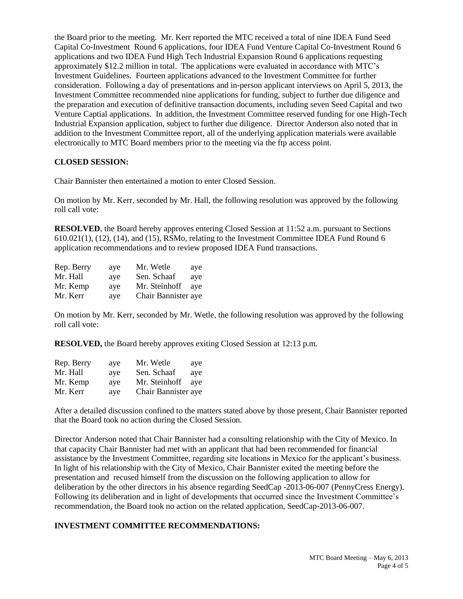the Board prior to the meeting. Mr. Kerr reported the MTC received a total of nine IDEA Fund Seed Capital Co-Investment Round 6 applications, four IDEA Fund Venture Capital Co-Investment Round 6 applications and two IDEA Fund High Tech Industrial Expansion Round 6 applications requesting approximately \$12.2 million in total. The applications were evaluated in accordance with MTC's Investment Guidelines. Fourteen applications advanced to the Investment Committee for further consideration. Following a day of presentations and in-person applicant interviews on April 5, 2013, the Investment Committee recommended nine applications for funding, subject to further due diligence and the preparation and execution of definitive transaction documents, including seven Seed Capital and two Venture Captial applications. In addition, the Investment Committee reserved funding for one High-Tech Industrial Expansion application, subject to further due diligence. Director Anderson also noted that in addition to the Investment Committee report, all of the underlying application materials were available electronically to MTC Board members prior to the meeting via the ftp access point.

# **CLOSED SESSION:**

Chair Bannister then entertained a motion to enter Closed Session.

On motion by Mr. Kerr, seconded by Mr. Hall, the following resolution was approved by the following roll call vote:

**RESOLVED**, the Board hereby approves entering Closed Session at 11:52 a.m. pursuant to Sections 610.021(1), (12), (14), and (15), RSMo, relating to the Investment Committee IDEA Fund Round 6 application recommendations and to review proposed IDEA Fund transactions.

| Rep. Berry | ave | Mr. Wetle           | aye |
|------------|-----|---------------------|-----|
| Mr. Hall   | ave | Sen. Schaaf         | aye |
| Mr. Kemp   | ave | Mr. Steinhoff       | ave |
| Mr. Kerr   | aye | Chair Bannister aye |     |

On motion by Mr. Kerr, seconded by Mr. Wetle, the following resolution was approved by the following roll call vote:

**RESOLVED,** the Board hereby approves exiting Closed Session at 12:13 p.m.

| Rep. Berry | aye | Mr. Wetle           | aye |
|------------|-----|---------------------|-----|
| Mr. Hall   | ave | Sen. Schaaf         | ave |
| Mr. Kemp   | aye | Mr. Steinhoff       | ave |
| Mr. Kerr   | aye | Chair Bannister aye |     |

After a detailed discussion confined to the matters stated above by those present, Chair Bannister reported that the Board took no action during the Closed Session.

Director Anderson noted that Chair Bannister had a consulting relationship with the City of Mexico. In that capacity Chair Bannister had met with an applicant that had been recommended for financial assistance by the Investment Committee, regarding site locations in Mexico for the applicant's business. In light of his relationship with the City of Mexico, Chair Bannister exited the meeting before the presentation and recused himself from the discussion on the following application to allow for deliberation by the other directors in his absence regarding SeedCap -2013-06-007 (PennyCress Energy). Following its deliberation and in light of developments that occurred since the Investment Committee's recommendation, the Board took no action on the related application, SeedCap-2013-06-007.

# **INVESTMENT COMMITTEE RECOMMENDATIONS:**